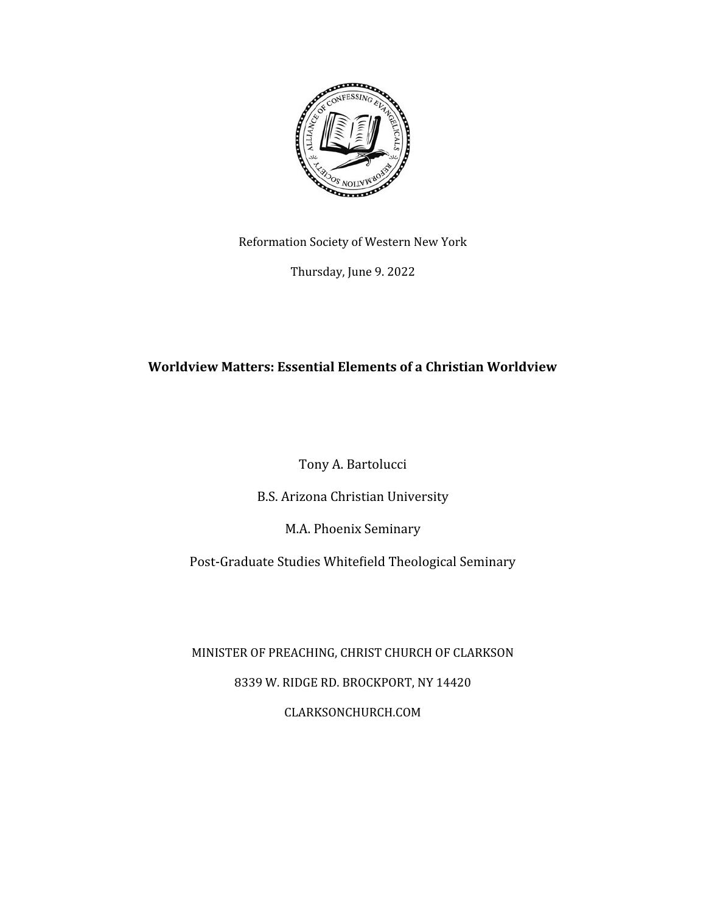

Reformation Society of Western New York

Thursday, June 9. 2022

# **Worldview Matters: Essential Elements of a Christian Worldview**

Tony A. Bartolucci

B.S. Arizona Christian University

M.A. Phoenix Seminary

Post-Graduate Studies Whitefield Theological Seminary

MINISTER OF PREACHING, CHRIST CHURCH OF CLARKSON 8339 W. RIDGE RD. BROCKPORT, NY 14420 CLARKSONCHURCH.COM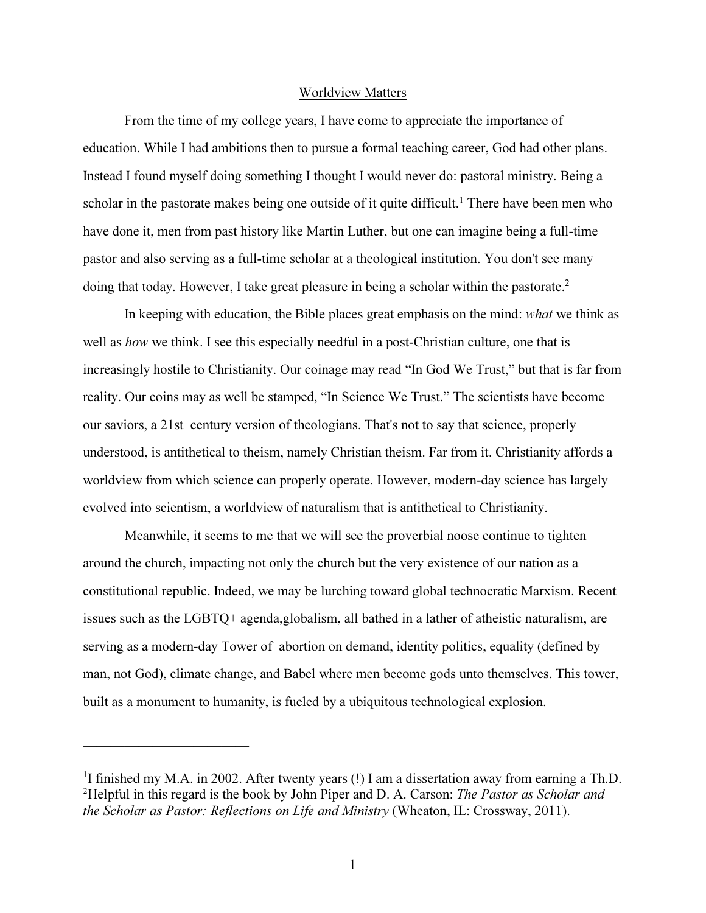#### Worldview Matters

 From the time of my college years, I have come to appreciate the importance of education. While I had ambitions then to pursue a formal teaching career, God had other plans. Instead I found myself doing something I thought I would never do: pastoral ministry. Being a scholar in the pastorate makes being one outside of it quite difficult.<sup>1</sup> There have been men who have done it, men from past history like Martin Luther, but one can imagine being a full-time pastor and also serving as a full-time scholar at a theological institution. You don't see many doing that today. However, I take great pleasure in being a scholar within the pastorate.<sup>2</sup>

In keeping with education, the Bible places great emphasis on the mind: what we think as well as how we think. I see this especially needful in a post-Christian culture, one that is increasingly hostile to Christianity. Our coinage may read "In God We Trust," but that is far from reality. Our coins may as well be stamped, "In Science We Trust." The scientists have become our saviors, a 21st century version of theologians. That's not to say that science, properly understood, is antithetical to theism, namely Christian theism. Far from it. Christianity affords a worldview from which science can properly operate. However, modern-day science has largely evolved into scientism, a worldview of naturalism that is antithetical to Christianity.

 Meanwhile, it seems to me that we will see the proverbial noose continue to tighten around the church, impacting not only the church but the very existence of our nation as a constitutional republic. Indeed, we may be lurching toward global technocratic Marxism. Recent issues such as the LGBTQ+ agenda,globalism, all bathed in a lather of atheistic naturalism, are serving as a modern-day Tower of abortion on demand, identity politics, equality (defined by man, not God), climate change, and Babel where men become gods unto themselves. This tower, built as a monument to humanity, is fueled by a ubiquitous technological explosion.

<sup>&</sup>lt;sup>1</sup>I finished my M.A. in 2002. After twenty years (!) I am a dissertation away from earning a Th.D. <sup>2</sup>Helpful in this regard is the book by John Piper and D. A. Carson: *The Pastor as Scholar and* the Scholar as Pastor: Reflections on Life and Ministry (Wheaton, IL: Crossway, 2011).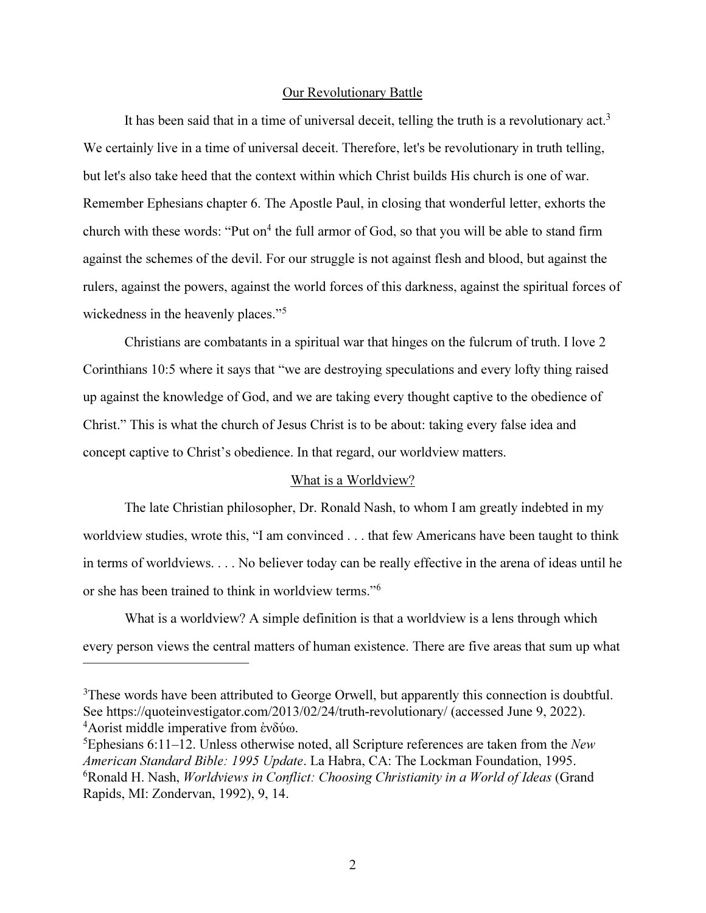#### Our Revolutionary Battle

It has been said that in a time of universal deceit, telling the truth is a revolutionary  $act<sup>3</sup>$ . We certainly live in a time of universal deceit. Therefore, let's be revolutionary in truth telling, but let's also take heed that the context within which Christ builds His church is one of war. Remember Ephesians chapter 6. The Apostle Paul, in closing that wonderful letter, exhorts the church with these words: "Put on<sup>4</sup> the full armor of God, so that you will be able to stand firm against the schemes of the devil. For our struggle is not against flesh and blood, but against the rulers, against the powers, against the world forces of this darkness, against the spiritual forces of wickedness in the heavenly places."<sup>5</sup>

 Christians are combatants in a spiritual war that hinges on the fulcrum of truth. I love 2 Corinthians 10:5 where it says that "we are destroying speculations and every lofty thing raised up against the knowledge of God, and we are taking every thought captive to the obedience of Christ." This is what the church of Jesus Christ is to be about: taking every false idea and concept captive to Christ's obedience. In that regard, our worldview matters.

#### What is a Worldview?

 The late Christian philosopher, Dr. Ronald Nash, to whom I am greatly indebted in my worldview studies, wrote this, "I am convinced . . . that few Americans have been taught to think in terms of worldviews. . . . No believer today can be really effective in the arena of ideas until he or she has been trained to think in worldview terms."<sup>6</sup>

 What is a worldview? A simple definition is that a worldview is a lens through which every person views the central matters of human existence. There are five areas that sum up what

<sup>&</sup>lt;sup>3</sup>These words have been attributed to George Orwell, but apparently this connection is doubtful. See https://quoteinvestigator.com/2013/02/24/truth-revolutionary/ (accessed June 9, 2022). <sup>4</sup>Aorist middle imperative from ένδύω.

 ${}^{5}$ Ephesians 6:11–12. Unless otherwise noted, all Scripture references are taken from the New American Standard Bible: 1995 Update. La Habra, CA: The Lockman Foundation, 1995.  $6R$ onald H. Nash, *Worldviews in Conflict: Choosing Christianity in a World of Ideas* (Grand Rapids, MI: Zondervan, 1992), 9, 14.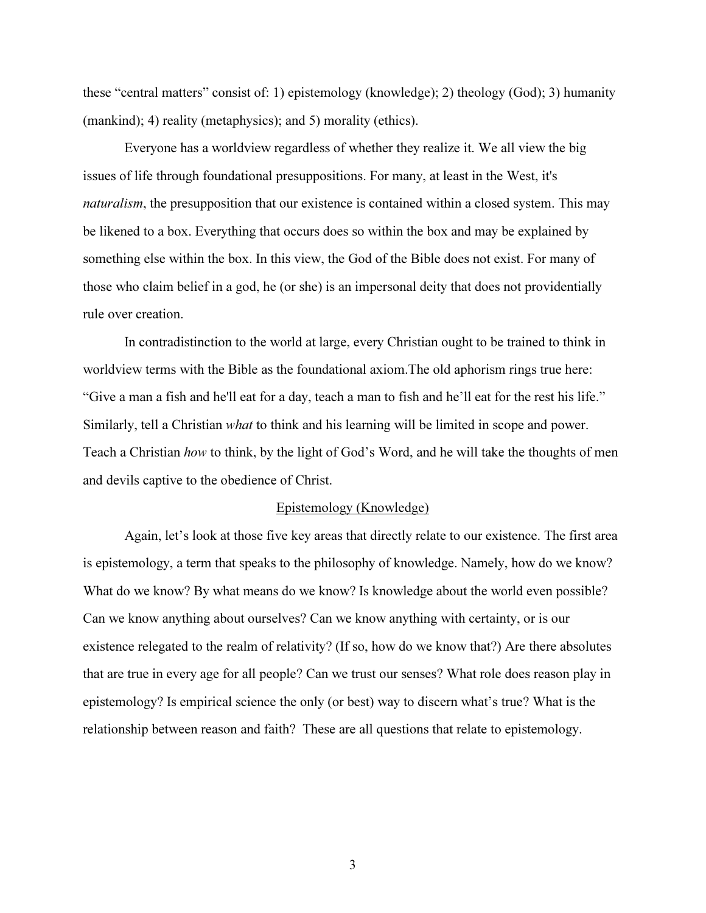these "central matters" consist of: 1) epistemology (knowledge); 2) theology (God); 3) humanity (mankind); 4) reality (metaphysics); and 5) morality (ethics).

 Everyone has a worldview regardless of whether they realize it. We all view the big issues of life through foundational presuppositions. For many, at least in the West, it's *naturalism*, the presupposition that our existence is contained within a closed system. This may be likened to a box. Everything that occurs does so within the box and may be explained by something else within the box. In this view, the God of the Bible does not exist. For many of those who claim belief in a god, he (or she) is an impersonal deity that does not providentially rule over creation.

 In contradistinction to the world at large, every Christian ought to be trained to think in worldview terms with the Bible as the foundational axiom.The old aphorism rings true here: "Give a man a fish and he'll eat for a day, teach a man to fish and he'll eat for the rest his life." Similarly, tell a Christian what to think and his learning will be limited in scope and power. Teach a Christian how to think, by the light of God's Word, and he will take the thoughts of men and devils captive to the obedience of Christ.

#### Epistemology (Knowledge)

 Again, let's look at those five key areas that directly relate to our existence. The first area is epistemology, a term that speaks to the philosophy of knowledge. Namely, how do we know? What do we know? By what means do we know? Is knowledge about the world even possible? Can we know anything about ourselves? Can we know anything with certainty, or is our existence relegated to the realm of relativity? (If so, how do we know that?) Are there absolutes that are true in every age for all people? Can we trust our senses? What role does reason play in epistemology? Is empirical science the only (or best) way to discern what's true? What is the relationship between reason and faith? These are all questions that relate to epistemology.

3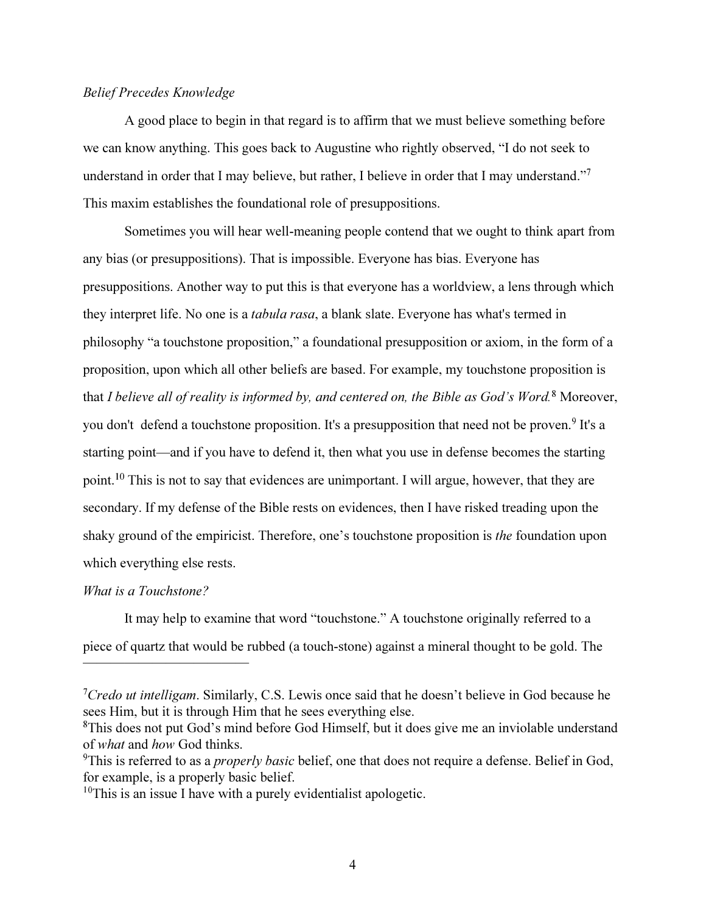#### Belief Precedes Knowledge

 A good place to begin in that regard is to affirm that we must believe something before we can know anything. This goes back to Augustine who rightly observed, "I do not seek to understand in order that I may believe, but rather, I believe in order that I may understand."<sup>7</sup> This maxim establishes the foundational role of presuppositions.

 Sometimes you will hear well-meaning people contend that we ought to think apart from any bias (or presuppositions). That is impossible. Everyone has bias. Everyone has presuppositions. Another way to put this is that everyone has a worldview, a lens through which they interpret life. No one is a *tabula rasa*, a blank slate. Everyone has what's termed in philosophy "a touchstone proposition," a foundational presupposition or axiom, in the form of a proposition, upon which all other beliefs are based. For example, my touchstone proposition is that I believe all of reality is informed by, and centered on, the Bible as God's Word.<sup>8</sup> Moreover, you don't defend a touchstone proposition. It's a presupposition that need not be proven.<sup>9</sup> It's a starting point—and if you have to defend it, then what you use in defense becomes the starting point.<sup>10</sup> This is not to say that evidences are unimportant. I will argue, however, that they are secondary. If my defense of the Bible rests on evidences, then I have risked treading upon the shaky ground of the empiricist. Therefore, one's touchstone proposition is the foundation upon which everything else rests.

#### What is a Touchstone?

————————————

 It may help to examine that word "touchstone." A touchstone originally referred to a piece of quartz that would be rubbed (a touch-stone) against a mineral thought to be gold. The

 ${}^{7}C$ redo ut intelligam. Similarly, C.S. Lewis once said that he doesn't believe in God because he sees Him, but it is through Him that he sees everything else.

<sup>&</sup>lt;sup>8</sup>This does not put God's mind before God Himself, but it does give me an inviolable understand of what and how God thinks.

<sup>&</sup>lt;sup>9</sup>This is referred to as a *properly basic* belief, one that does not require a defense. Belief in God, for example, is a properly basic belief.

 $10$ This is an issue I have with a purely evidentialist apologetic.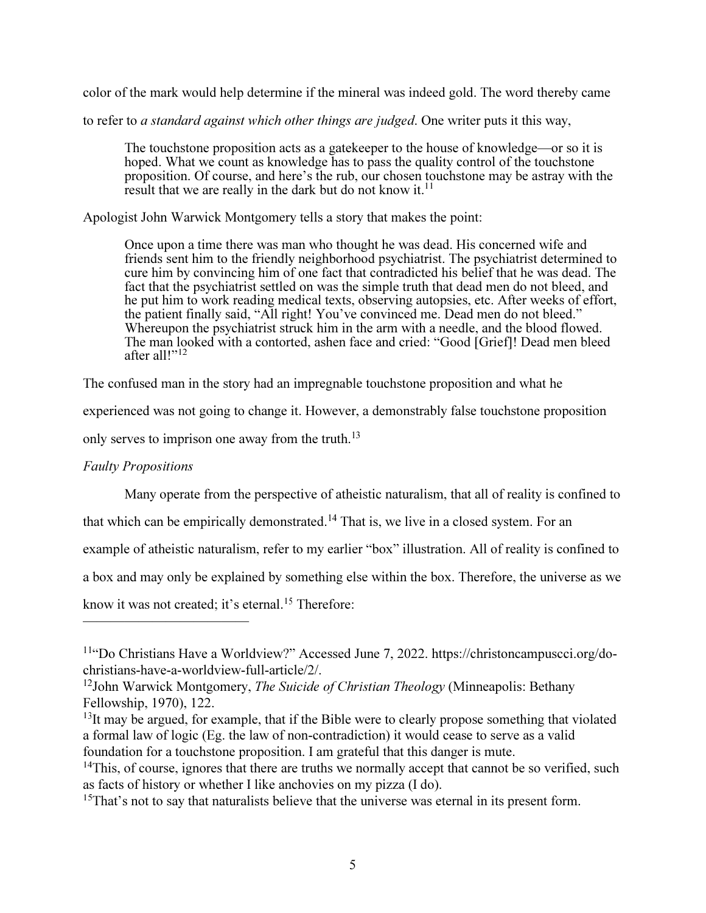color of the mark would help determine if the mineral was indeed gold. The word thereby came

to refer to a standard against which other things are judged. One writer puts it this way,

The touchstone proposition acts as a gatekeeper to the house of knowledge—or so it is hoped. What we count as knowledge has to pass the quality control of the touchstone proposition. Of course, and here's the rub, our chosen touchstone may be astray with the result that we are really in the dark but do not know it.<sup>11</sup>

Apologist John Warwick Montgomery tells a story that makes the point:

Once upon a time there was man who thought he was dead. His concerned wife and friends sent him to the friendly neighborhood psychiatrist. The psychiatrist determined to cure him by convincing him of one fact that contradicted his belief that he was dead. The fact that the psychiatrist settled on was the simple truth that dead men do not bleed, and he put him to work reading medical texts, observing autopsies, etc. After weeks of effort, the patient finally said, "All right! You've convinced me. Dead men do not bleed." Whereupon the psychiatrist struck him in the arm with a needle, and the blood flowed. The man looked with a contorted, ashen face and cried: "Good [Grief]! Dead men bleed after all!"<sup>12</sup>

The confused man in the story had an impregnable touchstone proposition and what he

experienced was not going to change it. However, a demonstrably false touchstone proposition

only serves to imprison one away from the truth. $^{13}$ 

#### Faulty Propositions

Many operate from the perspective of atheistic naturalism, that all of reality is confined to

that which can be empirically demonstrated.<sup>14</sup> That is, we live in a closed system. For an

example of atheistic naturalism, refer to my earlier "box" illustration. All of reality is confined to

a box and may only be explained by something else within the box. Therefore, the universe as we

know it was not created; it's eternal.<sup>15</sup> Therefore:

<sup>11</sup>"Do Christians Have a Worldview?" Accessed June 7, 2022. https://christoncampuscci.org/dochristians-have-a-worldview-full-article/2/.

<sup>&</sup>lt;sup>12</sup>John Warwick Montgomery, *The Suicide of Christian Theology* (Minneapolis: Bethany Fellowship, 1970), 122.

 $13$ It may be argued, for example, that if the Bible were to clearly propose something that violated a formal law of logic (Eg. the law of non-contradiction) it would cease to serve as a valid foundation for a touchstone proposition. I am grateful that this danger is mute.

 $14$ This, of course, ignores that there are truths we normally accept that cannot be so verified, such as facts of history or whether I like anchovies on my pizza (I do).

<sup>&</sup>lt;sup>15</sup>That's not to say that naturalists believe that the universe was eternal in its present form.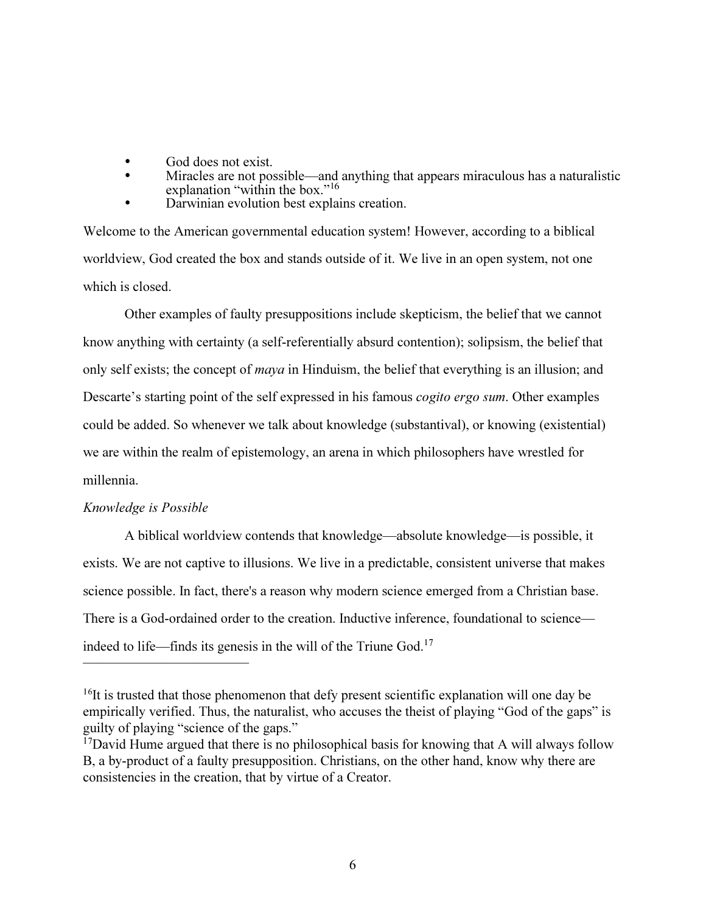- $\bullet$ God does not exist.
- - Miracles are not possible—and anything that appears miraculous has a naturalistic explanation "within the box." $16$
- -Darwinian evolution best explains creation.

Welcome to the American governmental education system! However, according to a biblical worldview, God created the box and stands outside of it. We live in an open system, not one which is closed.

 Other examples of faulty presuppositions include skepticism, the belief that we cannot know anything with certainty (a self-referentially absurd contention); solipsism, the belief that only self exists; the concept of *maya* in Hinduism, the belief that everything is an illusion; and Descarte's starting point of the self expressed in his famous *cogito ergo sum*. Other examples could be added. So whenever we talk about knowledge (substantival), or knowing (existential) we are within the realm of epistemology, an arena in which philosophers have wrestled for millennia.

## Knowledge is Possible

————————————

 A biblical worldview contends that knowledge—absolute knowledge—is possible, it exists. We are not captive to illusions. We live in a predictable, consistent universe that makes science possible. In fact, there's a reason why modern science emerged from a Christian base. There is a God-ordained order to the creation. Inductive inference, foundational to science indeed to life—finds its genesis in the will of the Triune God.<sup>17</sup>

 $16$ It is trusted that those phenomenon that defy present scientific explanation will one day be empirically verified. Thus, the naturalist, who accuses the theist of playing "God of the gaps" is guilty of playing "science of the gaps."

 $17$ David Hume argued that there is no philosophical basis for knowing that A will always follow B, a by-product of a faulty presupposition. Christians, on the other hand, know why there are consistencies in the creation, that by virtue of a Creator.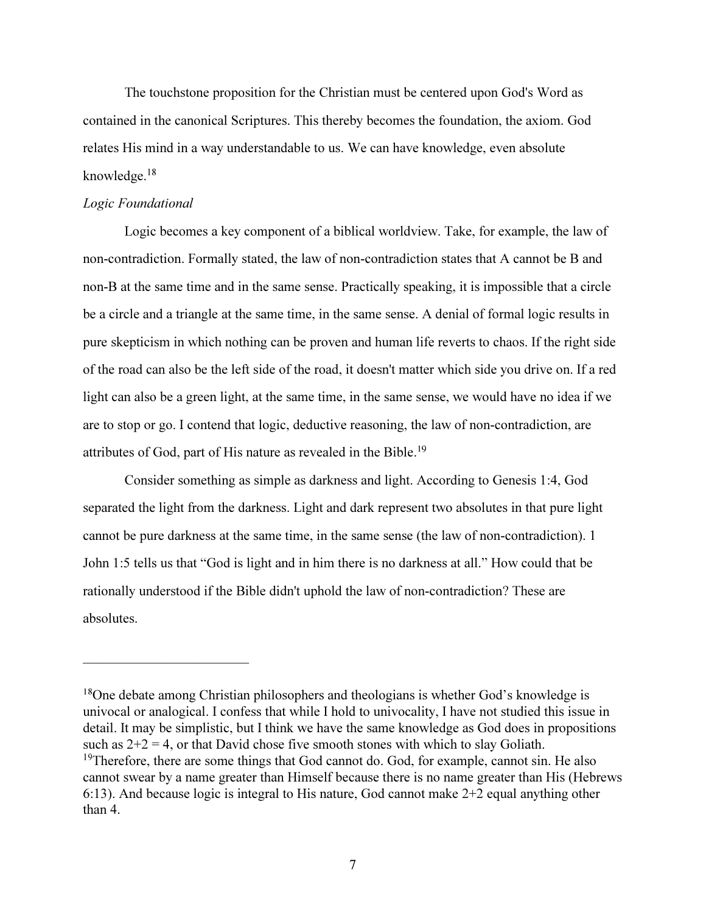The touchstone proposition for the Christian must be centered upon God's Word as contained in the canonical Scriptures. This thereby becomes the foundation, the axiom. God relates His mind in a way understandable to us. We can have knowledge, even absolute knowledge. $18$ 

#### Logic Foundational

————————————

 Logic becomes a key component of a biblical worldview. Take, for example, the law of non-contradiction. Formally stated, the law of non-contradiction states that A cannot be B and non-B at the same time and in the same sense. Practically speaking, it is impossible that a circle be a circle and a triangle at the same time, in the same sense. A denial of formal logic results in pure skepticism in which nothing can be proven and human life reverts to chaos. If the right side of the road can also be the left side of the road, it doesn't matter which side you drive on. If a red light can also be a green light, at the same time, in the same sense, we would have no idea if we are to stop or go. I contend that logic, deductive reasoning, the law of non-contradiction, are attributes of God, part of His nature as revealed in the Bible.<sup>19</sup>

 Consider something as simple as darkness and light. According to Genesis 1:4, God separated the light from the darkness. Light and dark represent two absolutes in that pure light cannot be pure darkness at the same time, in the same sense (the law of non-contradiction). 1 John 1:5 tells us that "God is light and in him there is no darkness at all." How could that be rationally understood if the Bible didn't uphold the law of non-contradiction? These are absolutes.

 $18$ One debate among Christian philosophers and theologians is whether God's knowledge is univocal or analogical. I confess that while I hold to univocality, I have not studied this issue in detail. It may be simplistic, but I think we have the same knowledge as God does in propositions such as  $2+2 = 4$ , or that David chose five smooth stones with which to slay Goliath. <sup>19</sup>Therefore, there are some things that God cannot do. God, for example, cannot sin. He also cannot swear by a name greater than Himself because there is no name greater than His (Hebrews 6:13). And because logic is integral to His nature, God cannot make 2+2 equal anything other than 4.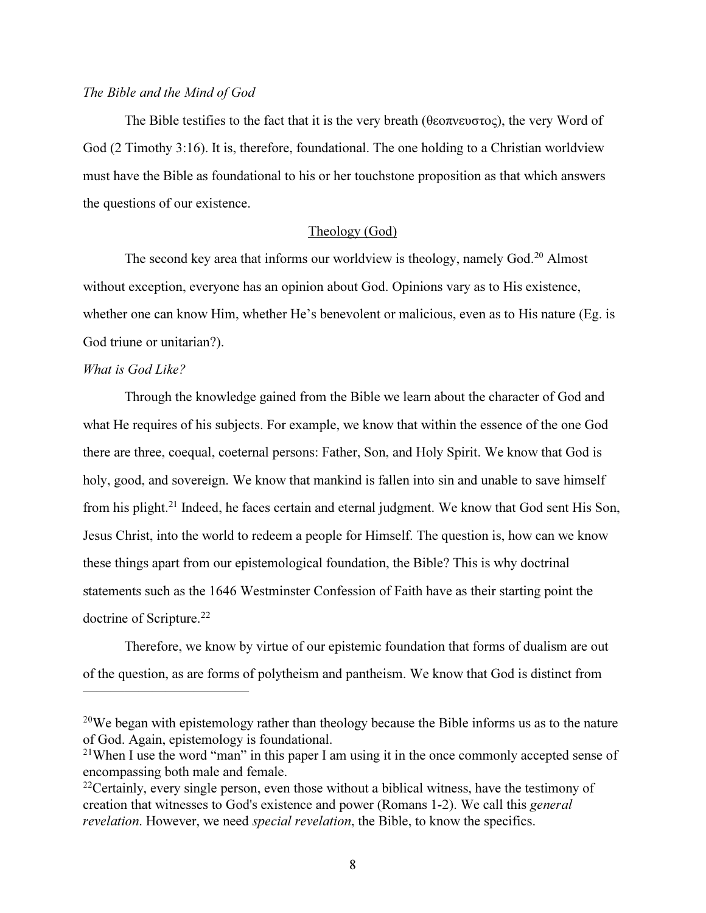#### The Bible and the Mind of God

 The Bible testifies to the fact that it is the very breath (θεοπνευστος), the very Word of God (2 Timothy 3:16). It is, therefore, foundational. The one holding to a Christian worldview must have the Bible as foundational to his or her touchstone proposition as that which answers the questions of our existence.

#### Theology (God)

The second key area that informs our worldview is theology, namely God.<sup>20</sup> Almost without exception, everyone has an opinion about God. Opinions vary as to His existence, whether one can know Him, whether He's benevolent or malicious, even as to His nature (Eg. is God triune or unitarian?).

#### What is God Like?

————————————

 Through the knowledge gained from the Bible we learn about the character of God and what He requires of his subjects. For example, we know that within the essence of the one God there are three, coequal, coeternal persons: Father, Son, and Holy Spirit. We know that God is holy, good, and sovereign. We know that mankind is fallen into sin and unable to save himself from his plight.<sup>21</sup> Indeed, he faces certain and eternal judgment. We know that God sent His Son, Jesus Christ, into the world to redeem a people for Himself. The question is, how can we know these things apart from our epistemological foundation, the Bible? This is why doctrinal statements such as the 1646 Westminster Confession of Faith have as their starting point the doctrine of Scripture.<sup>22</sup>

 Therefore, we know by virtue of our epistemic foundation that forms of dualism are out of the question, as are forms of polytheism and pantheism. We know that God is distinct from

<sup>&</sup>lt;sup>20</sup>We began with epistemology rather than theology because the Bible informs us as to the nature of God. Again, epistemology is foundational.

<sup>&</sup>lt;sup>21</sup>When I use the word "man" in this paper I am using it in the once commonly accepted sense of encompassing both male and female.

 $^{22}$ Certainly, every single person, even those without a biblical witness, have the testimony of creation that witnesses to God's existence and power (Romans 1-2). We call this general revelation. However, we need special revelation, the Bible, to know the specifics.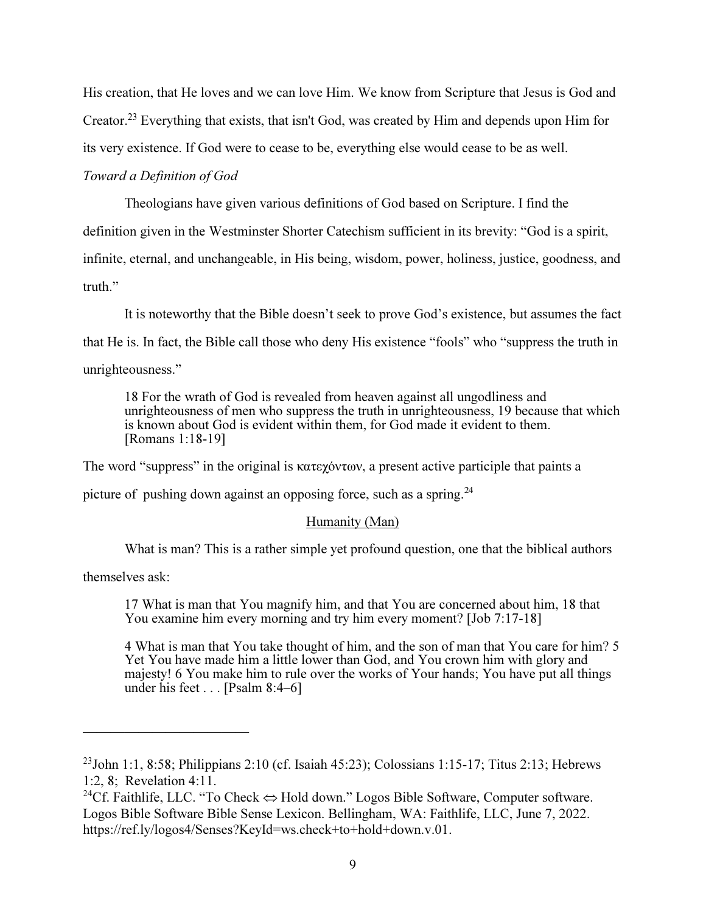His creation, that He loves and we can love Him. We know from Scripture that Jesus is God and Creator.<sup>23</sup> Everything that exists, that isn't God, was created by Him and depends upon Him for its very existence. If God were to cease to be, everything else would cease to be as well.

### Toward a Definition of God

Theologians have given various definitions of God based on Scripture. I find the

definition given in the Westminster Shorter Catechism sufficient in its brevity: "God is a spirit,

infinite, eternal, and unchangeable, in His being, wisdom, power, holiness, justice, goodness, and truth."

 It is noteworthy that the Bible doesn't seek to prove God's existence, but assumes the fact that He is. In fact, the Bible call those who deny His existence "fools" who "suppress the truth in unrighteousness."

18 For the wrath of God is revealed from heaven against all ungodliness and unrighteousness of men who suppress the truth in unrighteousness, 19 because that which is known about God is evident within them, for God made it evident to them. [Romans 1:18-19]

The word "suppress" in the original is κατεχόντων, a present active participle that paints a

picture of pushing down against an opposing force, such as a spring.<sup>24</sup>

#### Humanity (Man)

What is man? This is a rather simple yet profound question, one that the biblical authors

themselves ask:

————————————

17 What is man that You magnify him, and that You are concerned about him, 18 that You examine him every morning and try him every moment? [Job 7:17-18]

4 What is man that You take thought of him, and the son of man that You care for him? 5 Yet You have made him a little lower than God, and You crown him with glory and majesty! 6 You make him to rule over the works of Your hands; You have put all things under his feet . . . [Psalm 8:4–6]

<sup>&</sup>lt;sup>23</sup>John 1:1, 8:58; Philippians 2:10 (cf. Isaiah 45:23); Colossians 1:15-17; Titus 2:13; Hebrews 1:2, 8; Revelation 4:11.

<sup>&</sup>lt;sup>24</sup>Cf. Faithlife, LLC. "To Check  $\Leftrightarrow$  Hold down." Logos Bible Software, Computer software. Logos Bible Software Bible Sense Lexicon. Bellingham, WA: Faithlife, LLC, June 7, 2022. https://ref.ly/logos4/Senses?KeyId=ws.check+to+hold+down.v.01.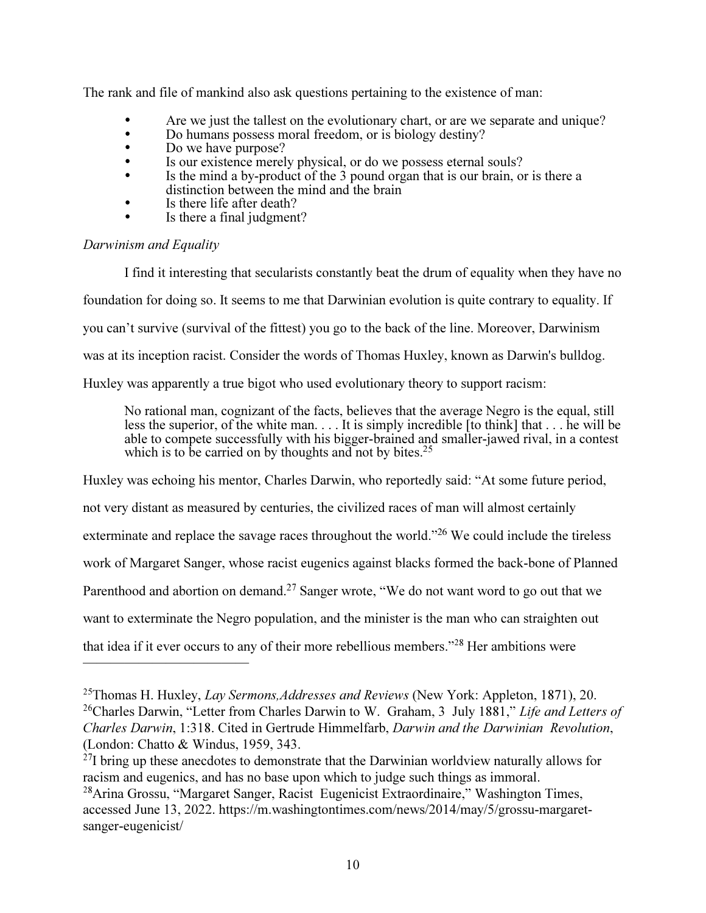The rank and file of mankind also ask questions pertaining to the existence of man:

- -Are we just the tallest on the evolutionary chart, or are we separate and unique?
- $\bullet$ Do humans possess moral freedom, or is biology destiny?
- $\bullet$ Do we have purpose?
- $\bullet$ Is our existence merely physical, or do we possess eternal souls?
- - Is the mind a by-product of the 3 pound organ that is our brain, or is there a distinction between the mind and the brain
- -Is there life after death?
- -Is there a final judgment?

# Darwinism and Equality

————————————

 I find it interesting that secularists constantly beat the drum of equality when they have no foundation for doing so. It seems to me that Darwinian evolution is quite contrary to equality. If you can't survive (survival of the fittest) you go to the back of the line. Moreover, Darwinism was at its inception racist. Consider the words of Thomas Huxley, known as Darwin's bulldog. Huxley was apparently a true bigot who used evolutionary theory to support racism:

No rational man, cognizant of the facts, believes that the average Negro is the equal, still less the superior, of the white man. . . . It is simply incredible [to think] that . . . he will be able to compete successfully with his bigger-brained and smaller-jawed rival, in a contest which is to be carried on by thoughts and not by bites.<sup>25</sup>

Huxley was echoing his mentor, Charles Darwin, who reportedly said: "At some future period, not very distant as measured by centuries, the civilized races of man will almost certainly exterminate and replace the savage races throughout the world."<sup>26</sup> We could include the tireless

work of Margaret Sanger, whose racist eugenics against blacks formed the back-bone of Planned

Parenthood and abortion on demand.<sup>27</sup> Sanger wrote, "We do not want word to go out that we

want to exterminate the Negro population, and the minister is the man who can straighten out

that idea if it ever occurs to any of their more rebellious members."<sup>28</sup> Her ambitions were

<sup>&</sup>lt;sup>25</sup>Thomas H. Huxley, *Lay Sermons, Addresses and Reviews* (New York: Appleton, 1871), 20. <sup>26</sup>Charles Darwin, "Letter from Charles Darwin to W. Graham, 3 July 1881," Life and Letters of Charles Darwin, 1:318. Cited in Gertrude Himmelfarb, Darwin and the Darwinian Revolution, (London: Chatto & Windus, 1959, 343.

 $^{27}$ I bring up these anecdotes to demonstrate that the Darwinian worldview naturally allows for racism and eugenics, and has no base upon which to judge such things as immoral. <sup>28</sup>Arina Grossu, "Margaret Sanger, Racist Eugenicist Extraordinaire," Washington Times,

accessed June 13, 2022. https://m.washingtontimes.com/news/2014/may/5/grossu-margaretsanger-eugenicist/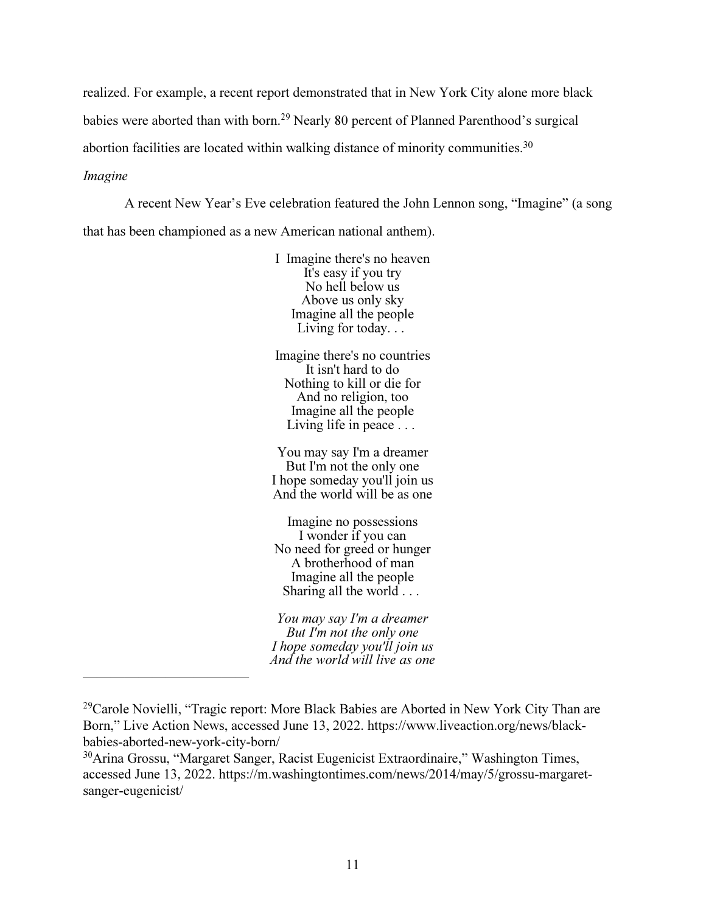realized. For example, a recent report demonstrated that in New York City alone more black babies were aborted than with born.<sup>29</sup> Nearly 80 percent of Planned Parenthood's surgical abortion facilities are located within walking distance of minority communities.<sup>30</sup>

### Imagine

————————————

 A recent New Year's Eve celebration featured the John Lennon song, "Imagine" (a song that has been championed as a new American national anthem).

> I Imagine there's no heaven It's easy if you try No hell below us Above us only sky Imagine all the people Living for today. . .

> Imagine there's no countries It isn't hard to do Nothing to kill or die for And no religion, too Imagine all the people Living life in peace ...

You may say I'm a dreamer But I'm not the only one I hope someday you'll join us And the world will be as one

Imagine no possessions I wonder if you can No need for greed or hunger A brotherhood of man Imagine all the people Sharing all the world . . .

You may say I'm a dreamer But I'm not the only one I hope someday you'll join us And the world will live as one

<sup>29</sup>Carole Novielli, "Tragic report: More Black Babies are Aborted in New York City Than are Born," Live Action News, accessed June 13, 2022. https://www.liveaction.org/news/blackbabies-aborted-new-york-city-born/

<sup>&</sup>lt;sup>30</sup>Arina Grossu, "Margaret Sanger, Racist Eugenicist Extraordinaire," Washington Times, accessed June 13, 2022. https://m.washingtontimes.com/news/2014/may/5/grossu-margaretsanger-eugenicist/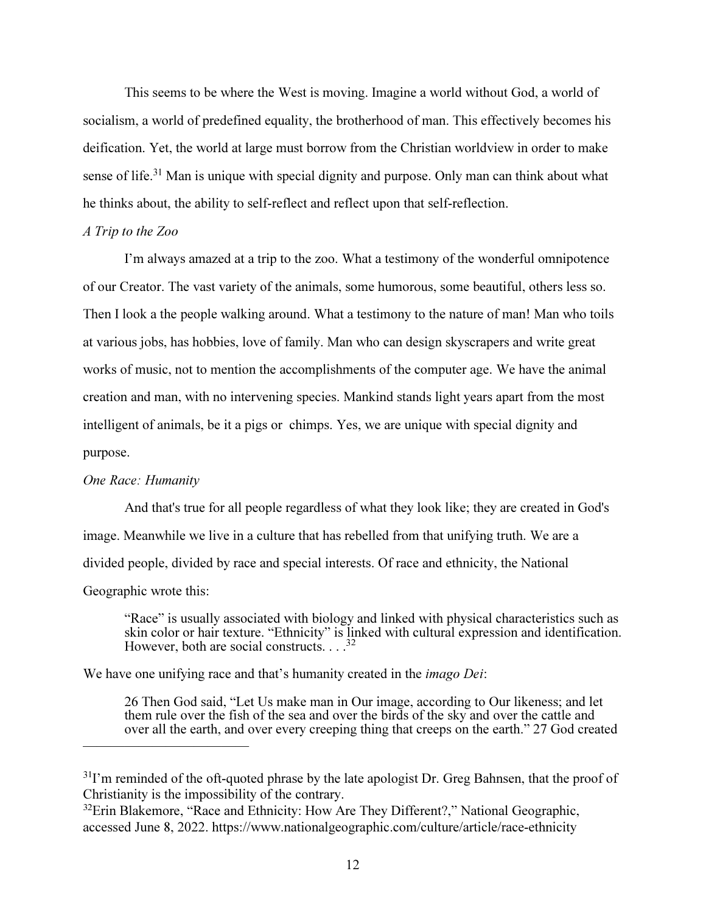This seems to be where the West is moving. Imagine a world without God, a world of socialism, a world of predefined equality, the brotherhood of man. This effectively becomes his deification. Yet, the world at large must borrow from the Christian worldview in order to make sense of life.<sup>31</sup> Man is unique with special dignity and purpose. Only man can think about what he thinks about, the ability to self-reflect and reflect upon that self-reflection.

#### A Trip to the Zoo

 I'm always amazed at a trip to the zoo. What a testimony of the wonderful omnipotence of our Creator. The vast variety of the animals, some humorous, some beautiful, others less so. Then I look a the people walking around. What a testimony to the nature of man! Man who toils at various jobs, has hobbies, love of family. Man who can design skyscrapers and write great works of music, not to mention the accomplishments of the computer age. We have the animal creation and man, with no intervening species. Mankind stands light years apart from the most intelligent of animals, be it a pigs or chimps. Yes, we are unique with special dignity and purpose.

#### One Race: Humanity

————————————

 And that's true for all people regardless of what they look like; they are created in God's image. Meanwhile we live in a culture that has rebelled from that unifying truth. We are a divided people, divided by race and special interests. Of race and ethnicity, the National Geographic wrote this:

"Race" is usually associated with biology and linked with physical characteristics such as skin color or hair texture. "Ethnicity" is linked with cultural expression and identification. However, both are social constructs.  $\frac{32}{32}$ 

We have one unifying race and that's humanity created in the *imago Dei*:

26 Then God said, "Let Us make man in Our image, according to Our likeness; and let them rule over the fish of the sea and over the birds of the sky and over the cattle and over all the earth, and over every creeping thing that creeps on the earth." 27 God created

<sup>&</sup>lt;sup>31</sup>I'm reminded of the oft-quoted phrase by the late apologist Dr. Greg Bahnsen, that the proof of Christianity is the impossibility of the contrary.

<sup>&</sup>lt;sup>32</sup>Erin Blakemore, "Race and Ethnicity: How Are They Different?," National Geographic, accessed June 8, 2022. https://www.nationalgeographic.com/culture/article/race-ethnicity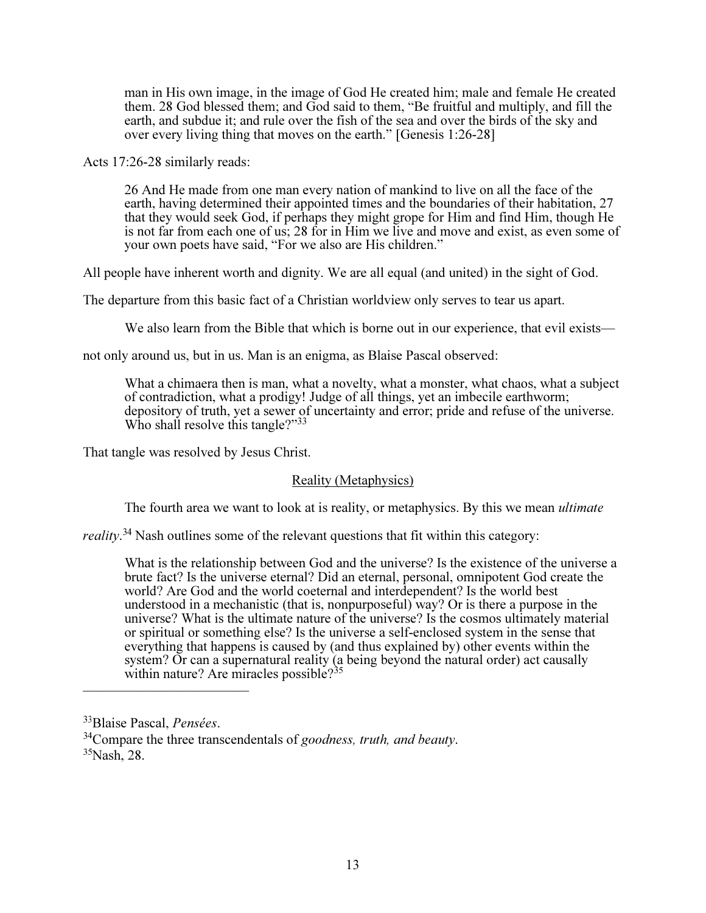man in His own image, in the image of God He created him; male and female He created them. 28 God blessed them; and God said to them, "Be fruitful and multiply, and fill the earth, and subdue it; and rule over the fish of the sea and over the birds of the sky and over every living thing that moves on the earth." [Genesis 1:26-28]

Acts 17:26-28 similarly reads:

26 And He made from one man every nation of mankind to live on all the face of the earth, having determined their appointed times and the boundaries of their habitation, 27 that they would seek God, if perhaps they might grope for Him and find Him, though He is not far from each one of us; 28 for in Him we live and move and exist, as even some of your own poets have said, "For we also are His children."

All people have inherent worth and dignity. We are all equal (and united) in the sight of God.

The departure from this basic fact of a Christian worldview only serves to tear us apart.

We also learn from the Bible that which is borne out in our experience, that evil exists—

not only around us, but in us. Man is an enigma, as Blaise Pascal observed:

What a chimaera then is man, what a novelty, what a monster, what chaos, what a subject of contradiction, what a prodigy! Judge of all things, yet an imbecile earthworm; depository of truth, yet a sewer of uncertainty and error; pride and refuse of the universe. Who shall resolve this tangle?"<sup>33</sup>

That tangle was resolved by Jesus Christ.

#### Reality (Metaphysics)

The fourth area we want to look at is reality, or metaphysics. By this we mean *ultimate* 

reality.<sup>34</sup> Nash outlines some of the relevant questions that fit within this category:

What is the relationship between God and the universe? Is the existence of the universe a brute fact? Is the universe eternal? Did an eternal, personal, omnipotent God create the world? Are God and the world coeternal and interdependent? Is the world best understood in a mechanistic (that is, nonpurposeful) way? Or is there a purpose in the universe? What is the ultimate nature of the universe? Is the cosmos ultimately material or spiritual or something else? Is the universe a self-enclosed system in the sense that everything that happens is caused by (and thus explained by) other events within the system? Or can a supernatural reality (a being beyond the natural order) act causally within nature? Are miracles possible?<sup>35</sup>

<sup>&</sup>lt;sup>33</sup>Blaise Pascal, *Pensées*.

 $34$ Compare the three transcendentals of goodness, truth, and beauty.

 $35$ Nash, 28.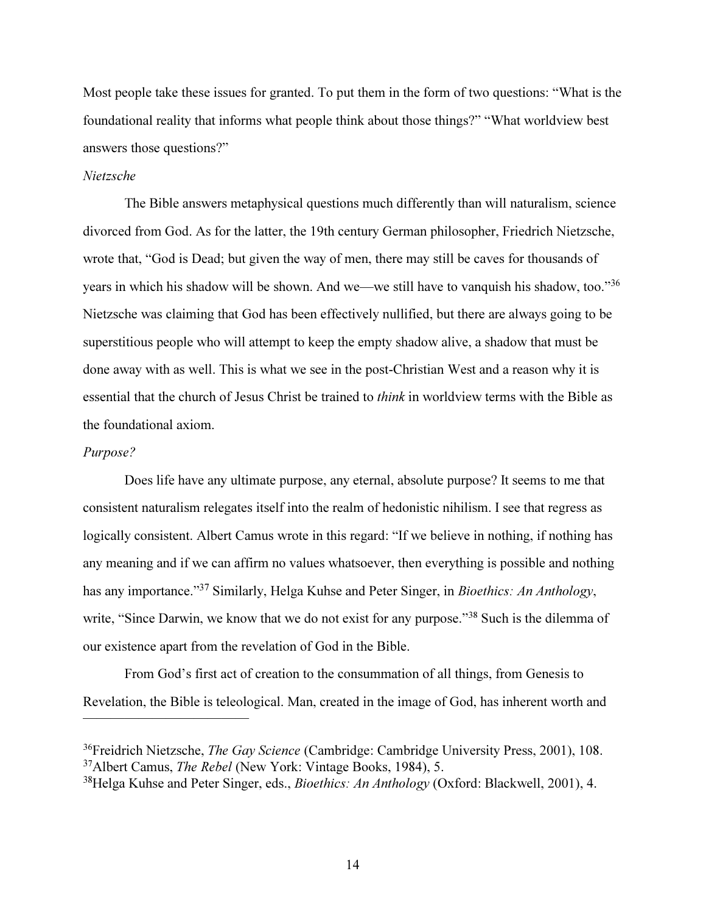Most people take these issues for granted. To put them in the form of two questions: "What is the foundational reality that informs what people think about those things?" "What worldview best answers those questions?"

#### Nietzsche

 The Bible answers metaphysical questions much differently than will naturalism, science divorced from God. As for the latter, the 19th century German philosopher, Friedrich Nietzsche, wrote that, "God is Dead; but given the way of men, there may still be caves for thousands of years in which his shadow will be shown. And we—we still have to vanquish his shadow, too."<sup>36</sup> Nietzsche was claiming that God has been effectively nullified, but there are always going to be superstitious people who will attempt to keep the empty shadow alive, a shadow that must be done away with as well. This is what we see in the post-Christian West and a reason why it is essential that the church of Jesus Christ be trained to think in worldview terms with the Bible as the foundational axiom.

#### Purpose?

————————————

 Does life have any ultimate purpose, any eternal, absolute purpose? It seems to me that consistent naturalism relegates itself into the realm of hedonistic nihilism. I see that regress as logically consistent. Albert Camus wrote in this regard: "If we believe in nothing, if nothing has any meaning and if we can affirm no values whatsoever, then everything is possible and nothing has any importance."<sup>37</sup> Similarly, Helga Kuhse and Peter Singer, in *Bioethics: An Anthology*, write, "Since Darwin, we know that we do not exist for any purpose."<sup>38</sup> Such is the dilemma of our existence apart from the revelation of God in the Bible.

 From God's first act of creation to the consummation of all things, from Genesis to Revelation, the Bible is teleological. Man, created in the image of God, has inherent worth and

 $36$ Freidrich Nietzsche, *The Gay Science* (Cambridge: Cambridge University Press, 2001), 108.  $37$ Albert Camus, *The Rebel* (New York: Vintage Books, 1984), 5.

 $38$ Helga Kuhse and Peter Singer, eds., *Bioethics: An Anthology* (Oxford: Blackwell, 2001), 4.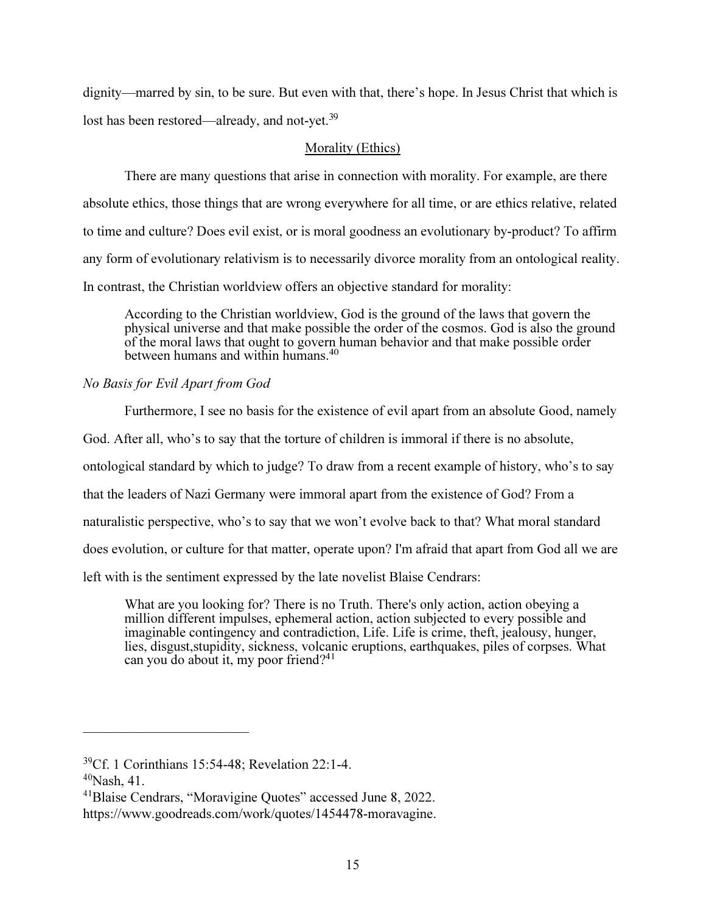dignity—marred by sin, to be sure. But even with that, there's hope. In Jesus Christ that which is lost has been restored—already, and not-yet.<sup>39</sup>

### Morality (Ethics)

 There are many questions that arise in connection with morality. For example, are there absolute ethics, those things that are wrong everywhere for all time, or are ethics relative, related to time and culture? Does evil exist, or is moral goodness an evolutionary by-product? To affirm any form of evolutionary relativism is to necessarily divorce morality from an ontological reality. In contrast, the Christian worldview offers an objective standard for morality:

According to the Christian worldview, God is the ground of the laws that govern the physical universe and that make possible the order of the cosmos. God is also the ground of the moral laws that ought to govern human behavior and that make possible order between humans and within humans.<sup>40</sup>

#### No Basis for Evil Apart from God

Furthermore, I see no basis for the existence of evil apart from an absolute Good, namely

God. After all, who's to say that the torture of children is immoral if there is no absolute,

ontological standard by which to judge? To draw from a recent example of history, who's to say

that the leaders of Nazi Germany were immoral apart from the existence of God? From a

naturalistic perspective, who's to say that we won't evolve back to that? What moral standard

does evolution, or culture for that matter, operate upon? I'm afraid that apart from God all we are

left with is the sentiment expressed by the late novelist Blaise Cendrars:

What are you looking for? There is no Truth. There's only action, action obeying a million different impulses, ephemeral action, action subjected to every possible and imaginable contingency and contradiction, Life. Life is crime, theft, jealousy, hunger, lies, disgust,stupidity, sickness, volcanic eruptions, earthquakes, piles of corpses. What can you do about it, my poor friend?<sup>41</sup>

<sup>39</sup>Cf. 1 Corinthians 15:54-48; Revelation 22:1-4.

 $40$ Nash, 41.

<sup>41</sup>Blaise Cendrars, "Moravigine Quotes" accessed June 8, 2022. https://www.goodreads.com/work/quotes/1454478-moravagine.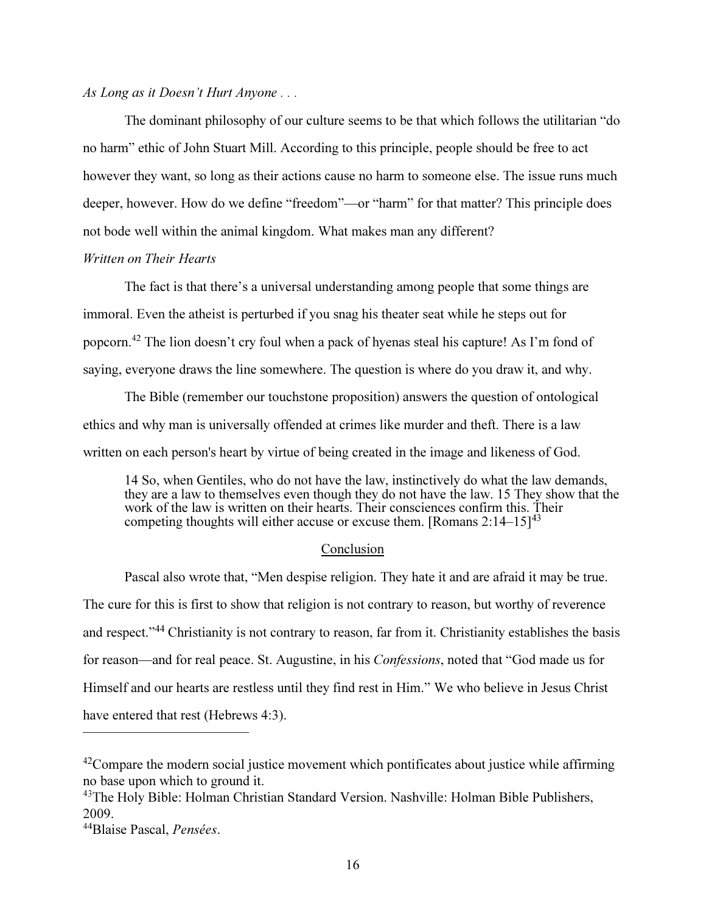#### As Long as it Doesn't Hurt Anyone . . .

 The dominant philosophy of our culture seems to be that which follows the utilitarian "do no harm" ethic of John Stuart Mill. According to this principle, people should be free to act however they want, so long as their actions cause no harm to someone else. The issue runs much deeper, however. How do we define "freedom"—or "harm" for that matter? This principle does not bode well within the animal kingdom. What makes man any different?

#### Written on Their Hearts

 The fact is that there's a universal understanding among people that some things are immoral. Even the atheist is perturbed if you snag his theater seat while he steps out for popcorn.<sup>42</sup> The lion doesn't cry foul when a pack of hyenas steal his capture! As I'm fond of saying, everyone draws the line somewhere. The question is where do you draw it, and why.

 The Bible (remember our touchstone proposition) answers the question of ontological ethics and why man is universally offended at crimes like murder and theft. There is a law written on each person's heart by virtue of being created in the image and likeness of God.

14 So, when Gentiles, who do not have the law, instinctively do what the law demands, they are a law to themselves even though they do not have the law. 15 They show that the work of the law is written on their hearts. Their consciences confirm this. Their competing thoughts will either accuse or excuse them. [Romans  $2:14-15$ ]<sup>43</sup>

#### Conclusion

 Pascal also wrote that, "Men despise religion. They hate it and are afraid it may be true. The cure for this is first to show that religion is not contrary to reason, but worthy of reverence and respect."<sup>44</sup> Christianity is not contrary to reason, far from it. Christianity establishes the basis for reason—and for real peace. St. Augustine, in his *Confessions*, noted that "God made us for Himself and our hearts are restless until they find rest in Him." We who believe in Jesus Christ have entered that rest (Hebrews 4:3).

 $42$ Compare the modern social justice movement which pontificates about justice while affirming no base upon which to ground it.

<sup>&</sup>lt;sup>43</sup>The Holy Bible: Holman Christian Standard Version. Nashville: Holman Bible Publishers, 2009.

<sup>&</sup>lt;sup>44</sup>Blaise Pascal, *Pensées*.